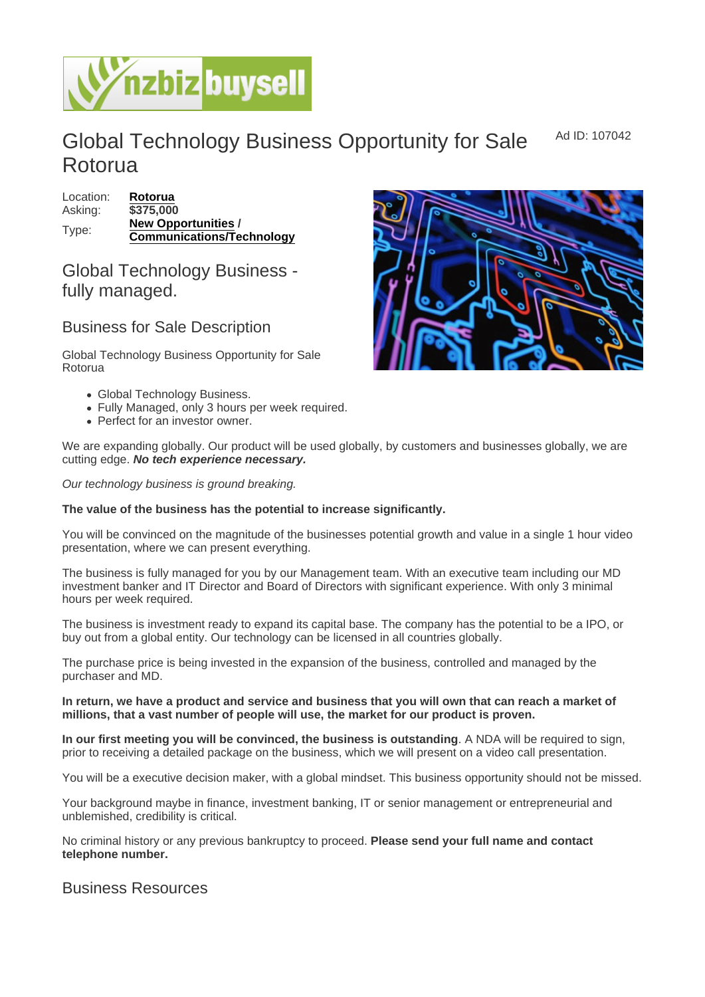Global Technology Business Opportunity for Sale Rotorua Ad ID: 107042

| Location: | Rotorua                   |
|-----------|---------------------------|
| Asking:   | \$375,000                 |
| Type:     | New Opportunities         |
|           | Communications/Technology |

## Global Technology Business fully managed.

## Business for Sale Description

Global Technology Business Opportunity for Sale Rotorua

- Global Technology Business.
- Fully Managed, only 3 hours per week required.
- Perfect for an investor owner.

We are expanding globally. Our product will be used globally, by customers and businesses globally, we are cutting edge. No tech experience necessary.

Our technology business is ground breaking.

The value of the business has the potential to increase significantly.

You will be convinced on the magnitude of the businesses potential growth and value in a single 1 hour video presentation, where we can present everything.

The business is fully managed for you by our Management team. With an executive team including our MD investment banker and IT Director and Board of Directors with significant experience. With only 3 minimal hours per week required.

The business is investment ready to expand its capital base. The company has the potential to be a IPO, or buy out from a global entity. Our technology can be licensed in all countries globally.

The purchase price is being invested in the expansion of the business, controlled and managed by the purchaser and MD.

In return, we have a product and service and business that you will own that can reach a market of millions, that a vast number of people will use, the market for our product is proven.

In our first meeting you will be convinced, the business is outstanding . A NDA will be required to sign, prior to receiving a detailed package on the business, which we will present on a video call presentation.

You will be a executive decision maker, with a global mindset. This business opportunity should not be missed.

Your background maybe in finance, investment banking, IT or senior management or entrepreneurial and unblemished, credibility is critical.

No criminal history or any previous bankruptcy to proceed. Please send your full name and contact telephone number.

## Business Resources